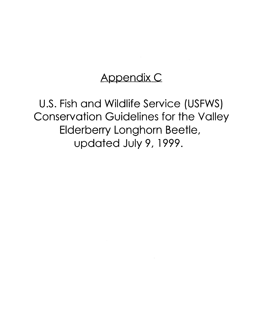# Appendix C

U.S. Fish and Wildlife Service (USFWS) Conservation Guidelines for the Valley Elderberry Longhorn Beetle, updated July 9, 1999.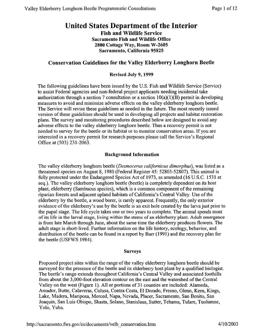## United States Department of the Interior

Fish and Wildlife Service Sacramento Fish and Wildlife Office 2800 Cottage Way, Room W-2605 Sacramento, California 95825

### Conservation Guidelines for the Valley Elderberry Longhorn Beetle

#### Revised July 9, 1999

The following guidelines have been issued by the U.S. Fish and Wildlife Service (Service) to assist Federal agencies and non-federal project applicants needing incidental take authorization through a section 7 consultation or a section  $10(a)(1)(B)$  permit in developing measures to avoid and minimize adverse effects on the valley elderberry longhorn beetle. The Service will revise these guidelines as needed in the future. The most recently issued version of these guidelines should be used in developing all projects and habitat restoration plans. The survey and monitoring procedures described below are designed to avoid any adverse effects to the valley elderberry longhorn beetle. Thus a recovery permit is not needed to survey for the beetle or its habitat or to monitor conservation areas. If you are interested in a recovery permit for research purposes please call the Service's Regional Office at (503) 231-2063.

#### Background Information

The valley elderberry longhorn beetle *(Desmocerus californicus dimorphus),* was listed as a threatened species on August 8, 1980 (Federal Register 45: 52803-52807). This animal is fully protected under the Endangered Species Act of 1973, as amended (16 U.S.C. 1531 et seq.). The valley elderberry longhorn beetle (beetle) is completely dependent on its host plant, elderberry (Sambucus species), which is a common component of the remaining riparian forests and adjacent upland habitats of California's Central Valley. Use of the elderberry by the beetle, a wood borer, is rarely apparent. Frequently, the only exterior evidence of the elderberry's use by the beetle is an exit hole created by the larva just prior to the pupal stage. The life cycle takes one or two years to complete. The animal spends most of its life in the larval stage, living within the stems of an elderberry plant. Adult emergence is from late March through June, about the same time the elderberry produces flowers. The adult stage is short-lived. Further information on the life history, ecology, behavior, and distribution of the beetle can be found in a report by Barr (1991) and the recovery plan for the beetle (USFWS 1984).

#### Surveys

Proposed project sites within the range of the valley elderberry longhorn beetle should be surveyed for the presence of the beetle and its elderberry host plant by a qualified biologist. The beetle's range extends throughout California's Central Valley and associated foothills from about the 3,000-foot elevation contour on the east and the watershed of the Central Valley on the west (Figure 1). All or portions of 31 counties are included: Alameda, Amador, Butte, Calaveras, Colusa, Contra Costa, El Dorado, Fresno, Glenn, Kem, Kings, Lake, Madera, Mariposa, Merced, Napa, Nevada, Placer, Sacramento, San Benito, San Joaquin, San Luis Obispo, Shasta, Solano, Stanislaus, Sutter, Tehama, Tulare, Tuolumne, Yolo, Yuba.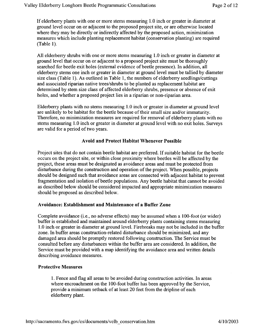If elderberry plants with one or more stems measuring 1.0 inch or greater in diameter at ground level occur on or adjacent to the proposed project site, or are otherwise located where they may be directly or indirectly affected by the proposed action, minimization measures which include planting replacement habitat (conservation planting) are required (Table 1).

All elderberry shrubs with one or more stems measuring 1.0 inch or greater in diameter at ground level that occur on or adjacent to a proposed project site must be thoroughly searched for beetle exit holes (external evidence of beetle presence). In addition, all elderberry stems one inch or greater in diameter at ground level must be tallied by diameter size class (Table 1). As outlined in Table 1, the numbers of elderberry seedlings/cuttings and associated riparian native trees/shrubs to be planted as replacement habitat are determined by stem size class of affected elderberry shrubs, presence or absence of exit holes, and whether a proposed project lies in a riparian or non-riparian area.

Elderberry plants with no stems measuring 1.0 inch or greater in diameter at ground level are unlikely to be habitat for the beetle because of their small size and/or immaturity. Therefore, no minimization measures are required for removal of elderberry plants with no stems measuring 1.0 inch or greater in diameter at ground level with no exit holes. Surveys are valid for a period of two years.

#### A void and Protect Habitat Whenever Possible

Project sites that do not contain beetle habitat are preferred. If suitable habitat for the beetle occurs on the project site, or within close proximity where beetles will be affected by the project, these areas must be designated as avoidance areas and must be protected from disturbance during the construction and operation of the project. When possible, projects should be designed such that avoidance areas are connected with adjacent habitat to prevent fragmentation and isolation of beetle populations. Any beetle habitat that cannot be avoided as described below should be considered impacted and appropriate minimization measures should be proposed as described below.

#### Avoidance: Establishment and Maintenance of a Buffer Zone

Complete avoidance (i.e., no adverse effects) may be assumed when a 100-foot (or wider) buffer is established and maintained around elderberry plants containing stems measuring 1.0 inch or greater in diameter at ground level. Firebreaks may not be included in the buffer zone. In buffer areas construction-related disturbance should be minimized, and any damaged area should be promptly restored following construction. The Service must be consulted before any disturbances within the buffer area are considered. In addition, the Service must be provided with a map identifying the avoidance area and written details describing avoidance measures.

#### Protective Measures

1. Fence and flag all areas to be avoided during construction activities. In areas where encroachment on the 100-foot buffer has been approved by the Service, provide a minimum setback of at least 20 feet from the dripline of each elderberry plant.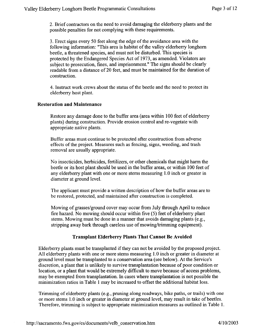2. Brief contractors on the need to avoid damaging the elderberry plants and the possible penalties for not complying with these requirements.

3. Erect signs every 50 feet along the edge of the avoidance area with the following information: "This area is habitat of the valley elderberry longhorn beetle, a threatened species, and must not be disturbed. This species is protected by the Endangered Species Act of 1973, as amended. Violators are subject to prosecution, fines, and imprisonment." The signs should be clearly readable from a distance of 20 feet, and must be maintained for the duration of construction.

4. Instruct work crews about the status of the beetle and the need to protect its elderberry host plant.

#### **Restoration and Maintenance**

Restore any damage done to the buffer area (area within I 00 feet of elderberry plants) during construction. Provide erosion control and re-vegetate with appropriate native plants.

Buffer areas must continue to be protected after construction from adverse effects of the project. Measures such as fencing, signs, weeding, and trash removal are usually appropriate.

No insecticides, herbicides, fertilizers, or other chemicals that might harm the beetle or its host plant should be used in the buffer areas, or within I 00 feet of any elderberry plant with one or more stems measuring 1.0 inch or greater in diameter at ground level.

The applicant must provide a written description of how the buffer areas are to be restored, protected, and maintained after construction is completed.

Mowing of grasses/ground cover may occur from July through April to reduce fire hazard. No mowing should occur within five (5) feet of elderberry plant stems. Mowing must be done in a manner that avoids damaging plants (e.g., stripping away bark through careless use of mowing/trimming equipment).

#### **Transplant Elderberry Plants That Cannot Be Avoided**

Elderberry plants must be transplanted if they can not be avoided by the proposed project. All elderberry plants with one or more stems measuring 1.0 inch or greater in diameter at ground level must be transplanted to a conservation area (see below). At the Service's discretion, a plant that is unlikely to survive transplantation because of poor condition or location, or a plant that would be extremely difficult to move because of access problems, may be exempted from transplantation. In cases where transplantation is not possible the minimization ratios in Table **1** may be increased to offset the additional habitat loss.

Trimming of elderberry plants (e.g., pruning along roadways, bike paths, or trails) with one or more stems 1.0 inch or greater in diameter at ground level, may result in take of beetles. Therefore, trimming is subject to appropriate minimization measures as outlined in Table 1.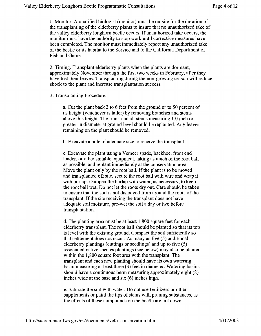1. Monitor. A qualified biologist (monitor) must be on-site for the duration of the transplanting of the elderberry plants to insure that no unauthorized take of the valley elderberry longhorn beetle occurs. If unauthorized take occurs, the monitor must have the authority to stop work until corrective measures have been completed. The monitor must immediately report any unauthorized take of the beetle or its habitat to the Service and to the California Department of Fish and Game.

2. Timing. Transplant elderberry plants when the plants are dormant, approximately November through the first two weeks in February, after they have lost their leaves. Transplanting during the non-growing season will reduce shock to the plant and increase transplantation success.

3. Transplanting Procedure.

a. Cut the plant back 3 to 6 feet from the ground or to 50 percent of its height (whichever is taller) by removing branches and sterns above this height. The trunk and all sterns measuring 1.0 inch or greater in diameter at ground level should be replanted. Any leaves remaining on the plant should be removed.

b. Excavate a hole of adequate size to receive the transplant.

c. Excavate the plant using a Verneer spade, backhoe, front end loader, or other suitable equipment, taking as much of the root ball as possible, and replant immediately at the conservation area. Move the plant only by the root ball. If the plant is to be moved and transplanted off site, secure the root ball with wire and wrap it with burlap. Dampen the burlap with water, as necessary, to keep the root ball wet. Do not let the roots dry out. Care should be taken to ensure that the soil is not dislodged from around the roots of the transplant. If the site receiving the transplant does not have adequate soil moisture, pre-wet the soil a day or two before transplantation.

d. The planting area must be at least 1,800 square feet for each elderberry transplant. The root ball should be planted so that its top is level with the existing ground. Compact the soil sufficiently so that settlement does not occur. As many as five (5) additional elderberry plantings (cuttings or seedlings) and up to five (5) associated native species plantings (see below) may also be planted within the 1,800 square foot area with the transplant. The transplant and each new planting should have its own watering basin measuring at least three (3) feet in diameter. Watering basins should have a continuous berm measuring approximately eight (8) inches wide at the base and six (6) inches high.

e. Saturate the soil with water. Do not use fertilizers or other supplements or paint the tips of stems with pruning substances, as the effects of these compounds on the beetle are unknown.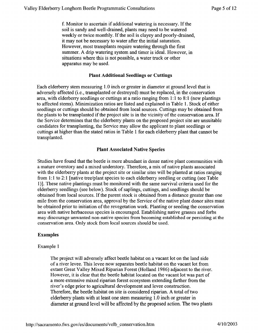f. Monitor to ascertain if additional watering is necessary. If the soil is sandy and well-drained, plants may need to be watered weekly or twice monthly. If the soil is clayey and poorly-drained, it may not be necessary to water after the initial saturation. However, most transplants require watering through the first summer. A drip watering system and timer is ideal. However, in situations where this is not possible, a water truck or other apparatus may be used.

#### Plant Additional Seedlings or Cuttings

Each elderberry stem measuring 1.0 inch or greater in diameter at ground level that is adversely affected (i.e., transplanted or destroyed) must be replaced, in the conservation area, with elderberry seedlings or cuttings at a ratio ranging from 1:1 to 8:1 (new plantings to affected stems). Minimization ratios are listed and explained in Table 1. Stock of either seedlings or cuttings should be obtained from local sources. Cuttings may be obtained from the plants to be transplanted if the project site is in the vicinity of the conservation area. If the Service determines that the elderberry plants on the proposed project site are unsuitable candidates for transplanting, the Service may allow the applicant to plant seedlings or cuttings at higher than the stated ratios in Table 1 for each elderberry plant that cannot be transplanted.

#### Plant Associated Native Species

Studies have found that the beetle is more abundant in dense native plant communities with a mature overstory and a mixed understory. Therefore, a mix of native plants associated with the elderberry plants at the project site or similar sites will be planted at ratios ranging from 1:1 to 2:1 [native tree/plant species to each elderberry seedling or cutting (see Table l)]. These native plantings must be monitored with the same survival criteria used for the elderberry seedlings (see below). Stock of saplings, cuttings, and seedlings should be · obtained from local sources. If the parent stock is obtained from a distance greater than one mile from the conservation area, approval by the Service of the native plant donor sites must be obtained prior to initiation of the revegetation work. Planting or seeding the conservation area with native herbaceous species is encouraged. Establishing native grasses and forbs may discourage unwanted non-native species from becoming established or persisting at the conservation area. Only stock from local sources should be used.

#### Examples

#### Example 1

The project will adversely affect beetle habitat on a vacant lot on the land side of a river levee. This levee now separates beetle habitat on the vacant lot from extant Great Valley Mixed Riparian Forest (Holland 1986) adjacent to the river. However, it is clear that the beetle habitat located on the vacant lot was part of a more extensive mixed riparian forest ecosystem extending farther from the river's edge prior to agricultural development and levee construction. Therefore, the beetle habitat on site is considered riparian. A total of two elderberry plants with at least one stem measuring 1.0 inch or greater in diameter at ground level will be affected by the proposed action. The two plants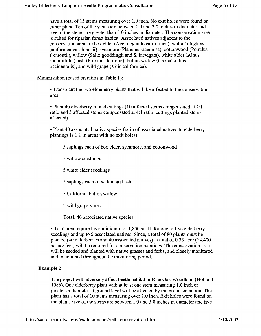have a total of 15 stems measuring over 1.0 inch. No exit holes were found on either plant. Ten of the stems are between 1.0 and 3.0 inches in diameter and five of the stems are greater than 5.0 inches in diameter. The conservation area is suited for riparian forest habitat. Associated natives adjacent to the conservation area are box elder (Acer negundo californica), walnut (Juglans californica var. hindsii), sycamore (Platanus racemosa), cottonwood (Populus fremontii), willow (Salix gooddingii and S. laevigata), white alder (Alnus rhombifolia), ash (Fraxinus latifolia), button willow (Cephalanthus occidentalis), and wild grape (Vitis californica).

Minimization (based on ratios in Table 1):

• Transplant the two elderberry plants that will be affected to the conservation area.

• Plant 40 elderberry rooted cuttings (10 affected stems compensated at 2: 1 ratio and 5 affected stems compensated at 4: 1 ratio, cuttings planted: stems affected)

• Plant 40 associated native species (ratio of associated natives to elderberry plantings is  $1:1$  in areas with no exit holes):

- 5 saplings each of box elder, sycamore, and cottonwood
- 5 willow seedlings
- 5 white alder seedlings
- 5 saplings each of walnut and ash
- 3 California button willow
- 2 wild grape vines
- Total: 40 associated native species

• Total area required is a minimum of 1,800 sq. ft. for one to five elderberry seedlings and up to 5 associated natives. Since, a total of 80 plants must be planted (40 elderberries and 40 associated natives), a total of 0.33 acre (14,400 square feet) will be required for conservation plantings. The conservation area will be seeded and planted with native grasses and forbs, and closely monitored and maintained throughout the monitoring period.

#### **Example 2**

The project will adversely affect beetle habitat in Blue Oak Woodland (Holland 1986). One elderberry plant with at least one stem measuring 1.0 inch or greater in diameter at ground level will be affected by the proposed action. The plant has a total of 10 stems measuring over 1.0 inch. Exit holes were found on the plant. Five of the stems are between  $1.0$  and  $3.0$  inches in diameter and five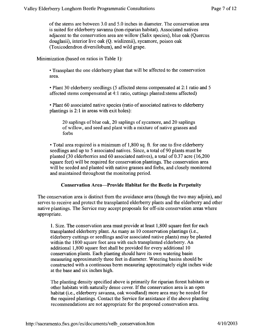of the stems are between 3.0 and 5.0 inches in diameter. The conservation area is suited for elderberry savanna (non-riparian habitat). Associated natives adjacent to the conservation area are willow (Salix species), blue oak (Quercus douglasii), interior live oak (Q. wislizenii), sycamore, poison oak (Toxicodendron diversilobum), and wild grape.

Minimization (based on ratios in Table **1**):

• Transplant the one elderberry plant that will be affected to the conservation area.

•Plant 30 elderberry seedlings (5 affected stems compensated at 2: **1** ratio and 5 affected stems compensated at 4: **1** ratio, cuttings planted: stems affected)

• Plant 60 associated native species (ratio of associated natives to elderberry plantings is 2: **1** in areas with exit holes):

20 saplings of blue oak, 20 saplings of sycamore, and 20 saplings of willow, and seed and plant with a mixture of native grasses and forbs

•Total area required is a minimum of 1,800 sq. ft. for one to five elderberry seedlings and up to 5 associated natives. Since, a total of 90 plants must be planted (30 elderberries and 60 associated natives), a total of 0.37 acre (16,200 square feet) will be required for conservation plantings. The conservation area will be seeded and planted with native grasses and forbs, and closely monitored and maintained throughout the monitoring period.

#### **Conservation Area-Provide Habitat for the Beetle in Perpetuity**

The conservation area is distinct from the avoidance area (though the two may adjoin), and serves to receive and protect the transplanted elderberry plants and the elderberry and other native plantings. The Service may accept proposals for off-site conservation areas where appropriate.

**1.** Size. The conservation area must provide at least 1,800 square feet for each transplanted elderberry plant. As many as 10 conservation plantings (i.e., elderberry cuttings or seedlings and/or associated native plants) may be planted within the 1800 square foot area with each transplanted elderberry. An additional 1,800 square feet shall be provided for every additional 10 conservation plants. Each planting should have its own watering basin measuring approximately three feet in diameter. Watering basins should be constructed with a continuous berm measuring approximately eight inches wide at the base and six inches high.

The planting density specified above is primarily for riparian forest habitats or other habitats with naturally dense cover. If the conservation area is an open habitat (i.e., elderberry savanna, oak woodland) more area may be needed for the required plantings. Contact the Service for assistance if the above planting recommendations are not appropriate for the proposed conservation area.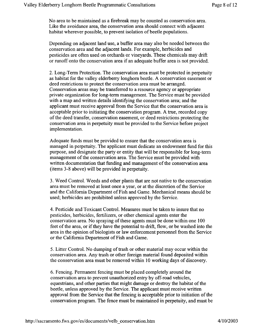No area to be maintained as a firebreak may be counted as conservation area. Like the avoidance area, the conservation area should connect with adjacent habitat wherever possible, to prevent isolation of beetle populations.

Depending on adjacent land use, a buffer area may also be needed between the conservation area and the adjacent lands. For example, herbicides and pesticides are often used on orchards or vineyards. These chemicals may drift or runoff onto the conservation area if an adequate buffer area is not provided.

2. Long-Term Protection. The conservation area must be protected in perpetuity as habitat for the valley elderberry longhorn beetle. A conservation easement or deed restrictions to protect the conservation area must be arranged. Conservation areas may be transferred to a resource agency or appropriate private organization for long-term management. The Service must be provided with a map and written details identifying the conservation area; and the applicant must receive approval from the Service that the conservation area is acceptable prior to initiating the conservation program. A true, recorded copy of the deed transfer, conservation easement, or deed restrictions protecting the conservation area in perpetuity must be provided to the Service before project implementation.

Adequate funds must be provided to ensure that the conservation area is managed in perpetuity. The applicant must dedicate an endowment fund for this purpose, and designate the party or entity that will be responsible for long-term management of the conservation area. The Service must be provided with written documentation that funding and management of the conservation area (items 3-8 above) will be provided in perpetuity.

3. Weed Control. Weeds and other plants that are not native to the conservation area must be removed at least once a year, or at the discretion of the Service and the California Department of Fish and Game. Mechanical means should be used; herbicides are prohibited unless approved by the Service.

4. Pesticide and Toxicant Control. Measures must be taken to insure that no pesticides, herbicides, fertilizers, or other chemical agents enter the conservation area. No spraying of these agents must be done within one 100 feet of the area, or if they have the potential to drift, flow, or be washed into the area in the opinion of biologists or law enforcement personnel from the Service or the California Department of Fish and Game.

5. Litter Control. No dumping of trash or other material may occur within the conservation area. Any trash or other foreign material found deposited within the conservation area must be removed within 10 working days of discovery.

6. Fencing. Permanent fencing must be placed completely around the conservation area to prevent unauthorized entry by off-road vehicles, equestrians, and other parties that might damage or destroy the habitat of the beetle, unless approved by the Service. The applicant must receive written approval from the Service that the fencing is acceptable prior to initiation of the conservation program. The fence must be maintained in perpetuity, and must be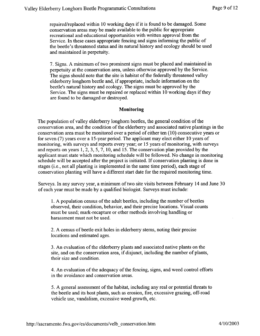repaired/replaced within 10 working days if it is found to be damaged. Some conservation areas may be made available to the public for appropriate recreational and educational opportunities with written approval from the Service. In these cases appropriate fencing and signs informing the public of the beetle's threatened status and its natural history and ecology should be used and maintained in perpetuity.

7. Signs. A minimum of two prominent signs must be placed and maintained in perpetuity at the conservation area, unless otherwise approved by the Service. The signs should note that the site is habitat of the federally threatened valley elderberry longhorn beetle and, if appropriate, include information on the beetle's natural history and ecology. The signs must be approved by the Service. The signs must be repaired or replaced within 10 working days if they are found to be damaged or destroyed.

#### **Monitoring**

The population of valley elderberry longhorn beetles, the general condition of the conservation area, and the condition of the elderberry and associated native plantings in the conservation area must be monitored over a period of either ten (10) consecutive years or for seven (7) years over a 15-year period. The applicant may elect either 10 years of monitoring, with surveys and reports every year; or 15 years of monitoring, with surveys and reports on years 1, 2, 3, 5, 7, 10, and 15. The conservation plan provided by the applicant must state which monitoring schedule will be followed. No change in monitoring schedule will be accepted after the project is initiated. If conservation planting is done in stages (i.e., not all planting is implemented in the same time period), each stage of conservation planting will have a different start date for the required monitoring time.

Surveys. In any survey year, a minimum of two site visits between February 14 and June 30 of each year must be made by a qualified biologist. Surveys must include:

1. A population census of the adult beetles, including the number of beetles observed, their condition, behavior, and their precise locations. Visual counts must be used; mark-recapture or other methods involving handling or harassment must not be used.

2. A census of beetle exit holes in elderberry stems, noting their precise locations and estimated ages.

3. An evaluation of the elderberry plants and associated native plants on the site, and on the conservation area, if disjunct, including the number of plants, their size and condition.

4. An evaluation of the adequacy of the fencing, signs, and weed control efforts in the avoidance and conservation areas.

5. A general assessment of the habitat, including any real or potential threats to the beetle and its host plants, such as erosion, fire, excessive grazing, off-road vehicle use, vandalism, excessive weed growth, etc.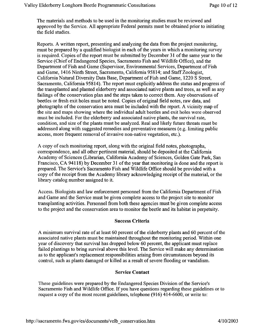The materials and methods to be used in the monitoring studies must be reviewed and approved by the Service. All appropriate Federal permits must be obtained prior to initiating the field studies.

Reports. A written report, presenting and analyzing the data from the project monitoring, must be prepared by a qualified biologist in each of the years in which a monitoring survey is required. Copies of the report must be submitted by December 31 ofthe same year to the Service (Chief of Endangered Species, Sacramento Fish and Wildlife Office), and the Department of Fish and Game (Supervisor, Environmental Services, Department of Fish and Game, 1416 Ninth Street, Sacramento, California 95814; and Staff Zoologist, California Natural Diversity Data Base, Department of Fish and Game, 1220 S Street, Sacramento, California 95814). The report must explicitly address the status and progress of the transplanted and planted elderberry and associated native plants and trees, as well as any failings of the conservation plan and the steps taken to correct them. Any observations of beetles or fresh exit holes must be noted. Copies of original field notes, raw data, and photographs of the conservation area must be included with the report. A vicinity map of the site and maps showing where the individual adult beetles and exit holes were observed must be included. For the elderberry and associated native plants, the survival rate, condition, and size of the plants must be analyzed. Real and likely future threats must be addressed along with suggested remedies and preventative measures (e.g. limiting public access, more frequent removal of invasive non-native vegetation, etc.).

A copy of each monitoring report, along with the original field notes, photographs, correspondence, and all other pertinent material, should be deposited at the California Academy of Sciences (Librarian, California Academy of Sciences, Golden Gate Park, San Francisco, CA 94118) by December 31 of the year that monitoring is done and the report is prepared. The Service's Sacramento Fish and Wildlife Office should be provided with a copy of the receipt from the Academy library acknowledging receipt of the material, or the library catalog number assigned to it.

Access. Biologists and law enforcement personnel from the California Department of Fish and Game and the Service must be given complete access to the project site to monitor transplanting activities. Personnel from both these agencies must be given complete access to the project and the conservation area to monitor the beetle and its habitat in perpetuity.

#### Success Criteria

A minimum survival rate of at least 60 percent of the elderberry plants and 60 percent of the associated native plants must be maintained throughout the monitoring period. Within one year of discovery that survival has dropped below 60 percent, the applicant must replace failed plantings to bring survival above this level. The Service will make any determination as to the applicant's replacement responsibilities arising from circumstances beyond its control, such as plants damaged or killed as a result of severe flooding or vandalism.

#### Service Contact

These guidelines were prepared by the Endangered Species Division of the Service's Sacramento Fish and Wildlife Office. If you have questions regarding these guidelines or to request a copy of the most recent guidelines, telephone  $(916)$  414-6600, or write to: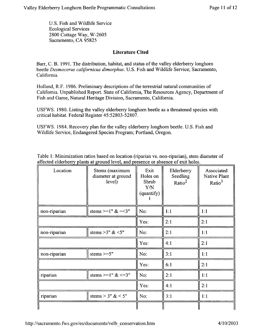U.S. Fish and Wildlife Service Ecological Services 2800 Cottage Way, W-2605 Sacramento, CA 95825

#### Literature Cited

Barr, C. B. 1991. The distribution, habitat, and status of the valley elderberry longhorn beetle *Desmocerus californicus dimorphus.* U.S. Fish and Wildlife Service; Sacramento, California.

Holland, R.F. 1986. Preliminary descriptions of the terrestrial natural communities of California. Unpublished Report. State of California, The Resources Agency, Department of Fish and Game, Natural Heritage Division, Sacramento, California.

USFWS. 1980. Listing the valley elderberry longhorn beetle as a threatened species with critical habitat. Federal Register 45:52803-52807.

USFWS. 1984. Recovery plan for the valley elderberry longhorn beetle. U.S. Fish and Wildlife Service, Endangered Species Program; Portland, Oregon.

| Table 1: Minimization ratios based on location (riparian vs. non-riparian), stem diameter of |                |      |            |                    |
|----------------------------------------------------------------------------------------------|----------------|------|------------|--------------------|
| affected elderberry plants at ground level, and presence or absence of exit holes.           |                |      |            |                    |
| Location                                                                                     | Stems (maximum | Exit | Elderberry | Associated<br>- 11 |

| Location     | Stems (maximum<br>diameter at ground<br>level) | Exit<br>Holes on<br>Shrub<br><b>Y/N</b><br>(quantify) | Elderberry<br>Seedling<br>Ratio $^2$ | Associated<br>Native Plant<br>Ratio $3$ |
|--------------|------------------------------------------------|-------------------------------------------------------|--------------------------------------|-----------------------------------------|
| non-riparian | stems $>=1" < =3"$                             | No:                                                   | 1:1                                  | 1:1                                     |
|              |                                                | Yes:                                                  | 2:1                                  | 2:1                                     |
| non-riparian | stems > 3" $<5"$                               | No:                                                   | 2:1                                  | 1:1                                     |
|              |                                                | Yes:                                                  | 4:1                                  | 2:1                                     |
| non-riparian | stems $>=5"$                                   | No:                                                   | 3:1                                  | 1:1                                     |
|              |                                                | Yes:                                                  | 6:1                                  | 2:1                                     |
| riparian     | stems >=1" $<=3"$                              | No:                                                   | 2:1                                  | 1:1                                     |
|              |                                                | Yes:                                                  | 4:1                                  | 2:1                                     |
| riparian     | stems > $3" < 5"$                              | No:                                                   | 3:1                                  | 1:1                                     |
|              |                                                |                                                       |                                      |                                         |